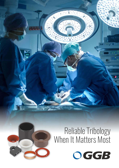# Reliable Tribology When It Matters Most



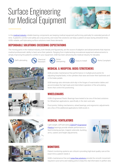# Surface Engineering for Medical Equipment



In the [medical industry](https://www.ggbearings.com/en/markets/medical), reliable bearing components are keeping medical equipment performing optimally for extended periods of time. A patient's comfort and safety are a top priority, and noise-free solutions can keep a patient at ease during stressfull times. GGB's reliable, self-lubricating surface solutions meet these demands.

#### **DEPENDABLE SOLUTIONS EXCEEDING EXPECTATIONS**

The moving parts in the medical industry, both literally and figuratively, are the source of adaption and advancements that improve medical professionals' ability to best serve their patients. Ranging from implementing innovational equipment advancements to simply improving the patient's comfort in your equipment, GGB has been advancing the medical industry for decades.



Self-Lubricating Chemical





Noise<br>Dampening













# GGB provides maintenance-free performance in multiple pivot points for

**MEDICAL & HOSPITAL BEDS/STRETCHERS**

adjusting hospital beds, in the cylinders that raise and lower their backrests and in the brake pedals.

GGB bearings also eliminate stick-slip in the hinges of examination tables and accommodate the high loads and intermittent operation of the articulating levers that control the positioning.

### **WHEELCHAIRS**

GGB's Engineered Plastic Bearings have tested to be one of the best solutions for Wheelchair applications, specifically in the stem and axle.

Pivot points, folding mechanisms, wheel bearings, and ergonomic adjustments are a few of the additional applications GGB excels in.

### **MEDICAL VENTILATORS**

Light-weight, self-lubricating GGB EP[®](https://www.ggbearings.com/en/products/solid-polymer-plastic-bearings) Engineered [Plastics](https://www.ggbearings.com/en/products/solid-polymer-plastic-bearings) bearings provide reliable performance in feed & dosing pumps, magnet solenoids, buckling arms, casters and height adjustments.



### **MONITORS**

Patient monitoring systems are critical in providing high-level quality care at the exact time a patient needs it.

GGB's maintenance-free and [noise-free solutions](https://www.ggbearings.com/en/solutions-bearings/reduce-noise) provide the smooth movement required in pivot arms and rotating joints to keep this vital information in perfect view.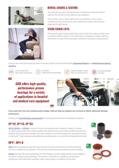



#### **DENTAL CHAIRS & SEATING**

Our bearings are used in the adjustment mechanisms for dental chairs to optimize the comfort of both patients and caregivers.

They are also used in dental light fixtures and reflectors, which require maintenance-free performance, and in pneumatic tooling, where they are subjected to high speeds.

### **STAIR/CHAIR LIFTS**

The dynamic nature and potential high loads of chair lifts makes a perfect case to introduce GGB's solutions. From bearings to tribological coatings, GGB has the answer to many of the challenges constantly interacting surfaces present.

Contact your local GGB expert and learn more about GGB's environmental friendly **Engineered Plastics** and [Metall-Polymer bearing](https://www.ggbearings.com/en/products/metal-polymer) [solutions](https://www.ggbearings.com/en/products/metal-polymer).



 $\epsilon$ 

Low Friction and High Wear Resistance



No More Maintenance Necessary



Reduce System Costs, Improve Performance



Environmentally Friendly

*GGB offers high-quality, performance-proven bearings for a variety of applications in hospital and medical care equipment*



**If you seek more from your existing system design, GGB can help you engineer your surfaces to deliver optimized tribology performance.**

Contact your [local GGB sales representative](https://www.ggbearings.com/en/where-to-buy-bearings) for bearing product selection and design assistance.

# **® ® ® EP 22, EP 43, EP 63**

EP<sup>[®](https://www.ggbearings.com/en/products/solid-polymer/ep63)</sup>22, [EP](https://www.ggbearings.com/en/products/solid-polymer/ep22)®43 and [EP](https://www.ggbearings.com/en/products/solid-polymer/ep63)®63 provide low friction and excellent wear resistance. Made of a variety of resins compounded with reinforcing fibers and solid lubricant, they exhibit excellent dimensional stability, high compressive strength and creep resistance, low thermal expansion and good thermal conductivity. These materials are available as standard parts or as customized engineered solutions.

# **® DP4 , DP4-B**

[DP4](https://www.ggbearings.com/en/products/metal-polymer/dp4)<sup>[®](https://www.ggbearings.com/en/products/metal-polymer/dp4)</sup> self-lubricating bearings offer high load and low wear performance to extend operating life and is suitable for dry operation. The low-friction bearing overlay enables smooth operation.

[DP4-B](https://www.ggbearings.com/en/products/metal-polymer/dp4-b) bearings offer all the advantages of DP4<sup>®</sup> bearings, plus the added benefit of anti-magnetic, corrosion-resistant bronze backings. They perform well under dry conditions, particularly in applications with intermittent operation under reciprocating or oscillating movements.